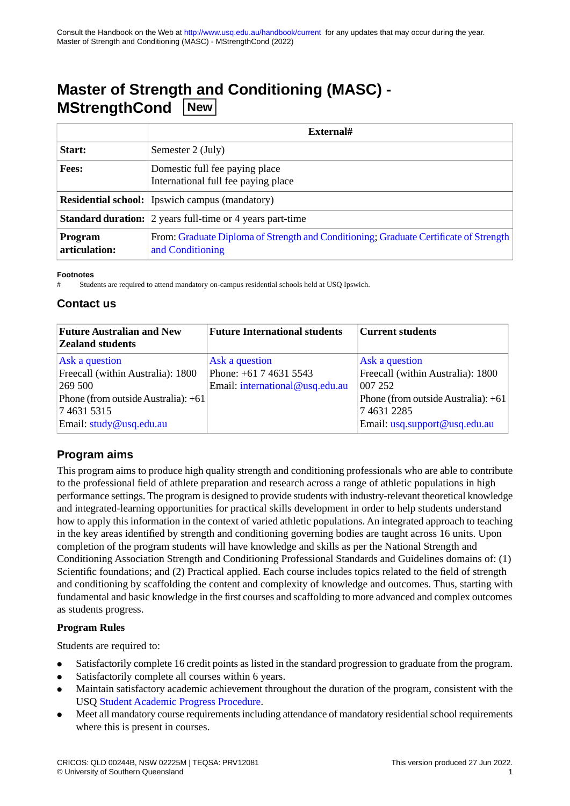# **Master of Strength and Conditioning (MASC) - MStrengthCond New**

|                                 | External#                                                                                                 |
|---------------------------------|-----------------------------------------------------------------------------------------------------------|
| Start:                          | Semester 2 (July)                                                                                         |
| <b>Fees:</b>                    | Domestic full fee paying place<br>International full fee paying place                                     |
|                                 | <b>Residential school:</b> Ipswich campus (mandatory)                                                     |
|                                 | <b>Standard duration:</b> 2 years full-time or 4 years part-time                                          |
| <b>Program</b><br>articulation: | From: Graduate Diploma of Strength and Conditioning; Graduate Certificate of Strength<br>and Conditioning |

#### **Footnotes**

Students are required to attend mandatory on-campus residential schools held at USQ Ipswich.

### **Contact us**

| <b>Future Australian and New</b><br><b>Zealand students</b> | <b>Future International students</b> | <b>Current students</b>             |
|-------------------------------------------------------------|--------------------------------------|-------------------------------------|
| Ask a question                                              | Ask a question                       | Ask a question                      |
| Freecall (within Australia): 1800                           | Phone: +61 7 4631 5543               | Freecall (within Australia): 1800   |
| 269 500                                                     | Email: international@usq.edu.au      | 007 252                             |
| Phone (from outside Australia): +61                         |                                      | Phone (from outside Australia): +61 |
| 746315315                                                   |                                      | 746312285                           |
| Email: study@usq.edu.au                                     |                                      | Email: usq.support@usq.edu.au       |

### **Program aims**

This program aims to produce high quality strength and conditioning professionals who are able to contribute to the professional field of athlete preparation and research across a range of athletic populations in high performance settings. The program is designed to provide students with industry-relevant theoretical knowledge and integrated-learning opportunities for practical skills development in order to help students understand how to apply this information in the context of varied athletic populations. An integrated approach to teaching in the key areas identified by strength and conditioning governing bodies are taught across 16 units. Upon completion of the program students will have knowledge and skills as per the National Strength and Conditioning Association Strength and Conditioning Professional Standards and Guidelines domains of: (1) Scientific foundations; and (2) Practical applied. Each course includes topics related to the field of strength and conditioning by scaffolding the content and complexity of knowledge and outcomes. Thus, starting with fundamental and basic knowledge in the first courses and scaffolding to more advanced and complex outcomes as students progress.

#### **Program Rules**

Students are required to:

- Satisfactorily complete 16 credit points as listed in the standard progression to graduate from the program.
- Satisfactorily complete all courses within 6 years.
- Maintain satisfactory academic achievement throughout the duration of the program, consistent with the USQ [Student Academic Progress Procedure](https://policy.usq.edu.au/documents/13566PL).
- Meet all mandatory course requirements including attendance of mandatory residential school requirements where this is present in courses.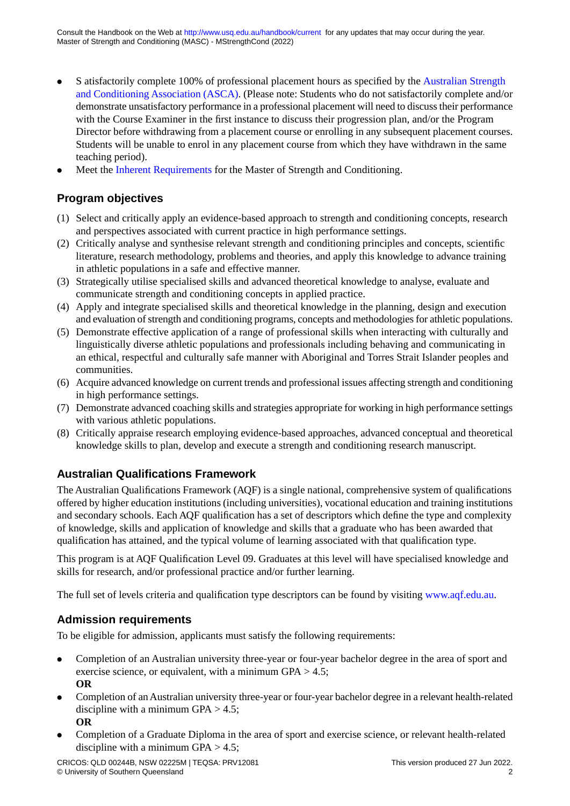- S atisfactorily complete 100% of professional placement hours as specified by the [Australian Strength](https://www.strengthandconditioning.org/) [and Conditioning Association \(ASCA\)](https://www.strengthandconditioning.org/). (Please note: Students who do not satisfactorily complete and/or demonstrate unsatisfactory performance in a professional placement will need to discuss their performance with the Course Examiner in the first instance to discuss their progression plan, and/or the Program Director before withdrawing from a placement course or enrolling in any subsequent placement courses. Students will be unable to enrol in any placement course from which they have withdrawn in the same teaching period).
- Meet the [Inherent Requirements](https://www.usq.edu.au/study/apply/entry-requirements/inherent-requirements) for the Master of Strength and Conditioning.

### **Program objectives**

- (1) Select and critically apply an evidence-based approach to strength and conditioning concepts, research and perspectives associated with current practice in high performance settings.
- (2) Critically analyse and synthesise relevant strength and conditioning principles and concepts, scientific literature, research methodology, problems and theories, and apply this knowledge to advance training in athletic populations in a safe and effective manner.
- (3) Strategically utilise specialised skills and advanced theoretical knowledge to analyse, evaluate and communicate strength and conditioning concepts in applied practice.
- (4) Apply and integrate specialised skills and theoretical knowledge in the planning, design and execution and evaluation of strength and conditioning programs, concepts and methodologies for athletic populations.
- (5) Demonstrate effective application of a range of professional skills when interacting with culturally and linguistically diverse athletic populations and professionals including behaving and communicating in an ethical, respectful and culturally safe manner with Aboriginal and Torres Strait Islander peoples and communities.
- (6) Acquire advanced knowledge on current trends and professional issues affecting strength and conditioning in high performance settings.
- (7) Demonstrate advanced coaching skills and strategies appropriate for working in high performance settings with various athletic populations.
- (8) Critically appraise research employing evidence-based approaches, advanced conceptual and theoretical knowledge skills to plan, develop and execute a strength and conditioning research manuscript.

## **Australian Qualifications Framework**

The Australian Qualifications Framework (AQF) is a single national, comprehensive system of qualifications offered by higher education institutions (including universities), vocational education and training institutions and secondary schools. Each AQF qualification has a set of descriptors which define the type and complexity of knowledge, skills and application of knowledge and skills that a graduate who has been awarded that qualification has attained, and the typical volume of learning associated with that qualification type.

This program is at AQF Qualification Level 09. Graduates at this level will have specialised knowledge and skills for research, and/or professional practice and/or further learning.

The full set of levels criteria and qualification type descriptors can be found by visiting [www.aqf.edu.au](http://www.aqf.edu.au).

### **Admission requirements**

To be eligible for admission, applicants must satisfy the following requirements:

- Completion of an Australian university three-year or four-year bachelor degree in the area of sport and exercise science, or equivalent, with a minimum GPA > 4.5; **OR**
- Completion of an Australian university three-year or four-year bachelor degree in a relevant health-related discipline with a minimum GPA  $> 4.5$ ; **OR**
- Completion of a Graduate Diploma in the area of sport and exercise science, or relevant health-related discipline with a minimum GPA  $> 4.5$ ;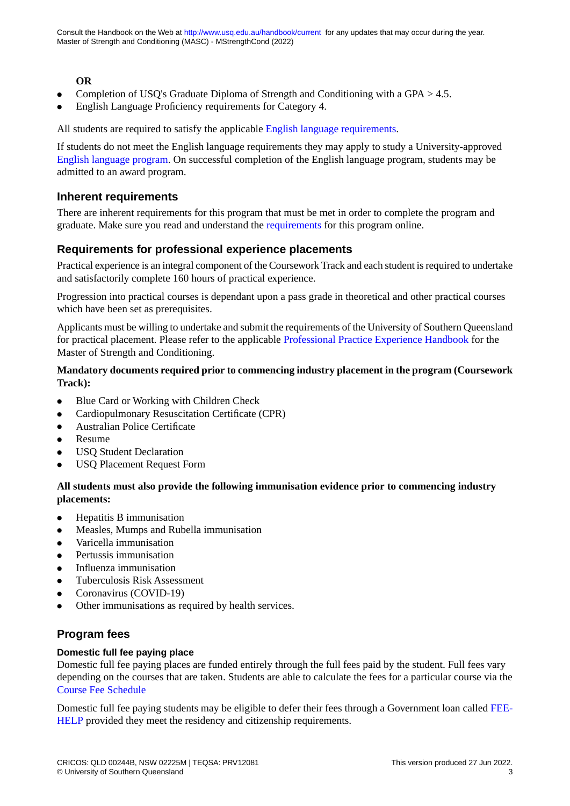#### **OR**

- Completion of USQ's Graduate Diploma of Strength and Conditioning with a GPA  $> 4.5$ .
- English Language Proficiency requirements for Category 4.

All students are required to satisfy the applicable [English language requirements.](http://policy.usq.edu.au/documents/14707PL)

If students do not meet the English language requirements they may apply to study a University-approved [English language program.](http://www.usq.edu.au/study/degrees/english-language-programs) On successful completion of the English language program, students may be admitted to an award program.

#### **Inherent requirements**

There are inherent requirements for this program that must be met in order to complete the program and graduate. Make sure you read and understand the [requirements](https://www.usq.edu.au/study/apply/entry-requirements/inherent-requirements) for this program online.

#### **Requirements for professional experience placements**

Practical experience is an integral component of the Coursework Track and each student is required to undertake and satisfactorily complete 160 hours of practical experience.

Progression into practical courses is dependant upon a pass grade in theoretical and other practical courses which have been set as prerequisites.

Applicants must be willing to undertake and submit the requirements of the University of Southern Queensland for practical placement. Please refer to the applicable [Professional Practice Experience Handbook](https://www.usq.edu.au/current-students/academic/hes-placements/resources-and-forms) for the Master of Strength and Conditioning.

#### **Mandatory documents required prior to commencing industry placement in the program (Coursework Track):**

- Blue Card or Working with Children Check
- Cardiopulmonary Resuscitation Certificate (CPR)
- Australian Police Certificate
- Resume
- **USQ Student Declaration**
- USQ Placement Request Form

#### **All students must also provide the following immunisation evidence prior to commencing industry placements:**

- Hepatitis B immunisation
- Measles, Mumps and Rubella immunisation
- Varicella immunisation
- Pertussis immunisation
- Influenza immunisation
- Tuberculosis Risk Assessment
- Coronavirus (COVID-19)
- Other immunisations as required by health services.

### **Program fees**

#### **Domestic full fee paying place**

Domestic full fee paying places are funded entirely through the full fees paid by the student. Full fees vary depending on the courses that are taken. Students are able to calculate the fees for a particular course via the [Course Fee Schedule](https://www.usq.edu.au/current-students/administration/fees/fee-schedules)

Domestic full fee paying students may be eligible to defer their fees through a Government loan called [FEE-](https://www.usq.edu.au/current-students/administration/fees/higher-education-loan-program)[HELP](https://www.usq.edu.au/current-students/administration/fees/higher-education-loan-program) provided they meet the residency and citizenship requirements.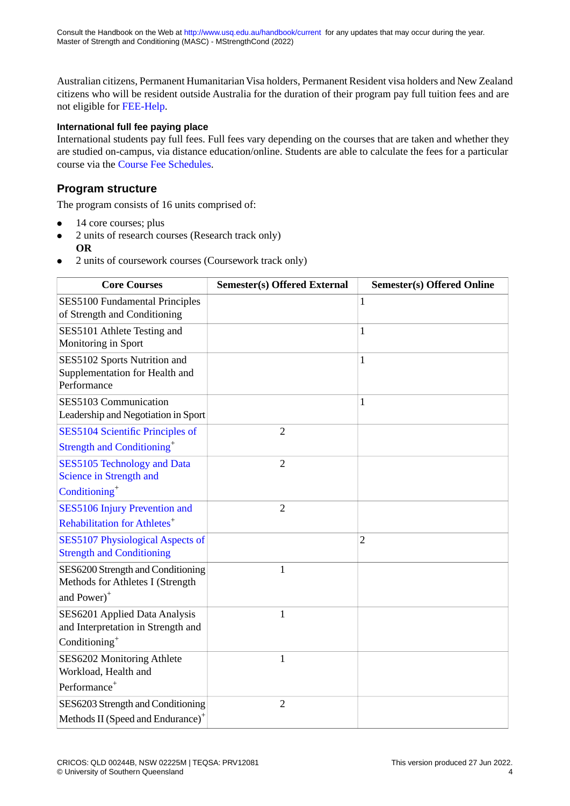Australian citizens, Permanent Humanitarian Visa holders, Permanent Resident visa holders and New Zealand citizens who will be resident outside Australia for the duration of their program pay full tuition fees and are not eligible for [FEE-Help](https://www.usq.edu.au/current-students/administration/fees/higher-education-loan-program).

#### **International full fee paying place**

International students pay full fees. Full fees vary depending on the courses that are taken and whether they are studied on-campus, via distance education/online. Students are able to calculate the fees for a particular course via the [Course Fee Schedules.](https://www.usq.edu.au/current-students/administration/fees/fee-schedules)

### **Program structure**

The program consists of 16 units comprised of:

- 14 core courses; plus
- 2 units of research courses (Research track only) **OR**
- 2 units of coursework courses (Coursework track only)

| <b>Core Courses</b>                                                           | <b>Semester(s) Offered External</b> | <b>Semester(s) Offered Online</b> |
|-------------------------------------------------------------------------------|-------------------------------------|-----------------------------------|
| SES5100 Fundamental Principles<br>of Strength and Conditioning                |                                     | $\mathbf{1}$                      |
| SES5101 Athlete Testing and<br>Monitoring in Sport                            |                                     | 1                                 |
| SES5102 Sports Nutrition and<br>Supplementation for Health and<br>Performance |                                     | 1                                 |
| SES5103 Communication<br>Leadership and Negotiation in Sport                  |                                     | 1                                 |
| SES5104 Scientific Principles of                                              | $\overline{2}$                      |                                   |
| Strength and Conditioning <sup>+</sup>                                        |                                     |                                   |
| SES5105 Technology and Data<br>Science in Strength and                        | $\overline{2}$                      |                                   |
| Conditioning <sup>+</sup>                                                     |                                     |                                   |
| SES5106 Injury Prevention and                                                 | $\overline{2}$                      |                                   |
| Rehabilitation for Athletes <sup>+</sup>                                      |                                     |                                   |
| SES5107 Physiological Aspects of<br><b>Strength and Conditioning</b>          |                                     | $\overline{2}$                    |
| SES6200 Strength and Conditioning<br>Methods for Athletes I (Strength         | 1                                   |                                   |
| and Power) <sup>+</sup>                                                       |                                     |                                   |
| SES6201 Applied Data Analysis<br>and Interpretation in Strength and           | $\mathbf{1}$                        |                                   |
| Conditioning <sup>+</sup>                                                     |                                     |                                   |
| SES6202 Monitoring Athlete<br>Workload, Health and                            | 1                                   |                                   |
| Performance <sup>+</sup>                                                      |                                     |                                   |
| SES6203 Strength and Conditioning                                             | $\overline{2}$                      |                                   |
| Methods II (Speed and Endurance) <sup>+</sup>                                 |                                     |                                   |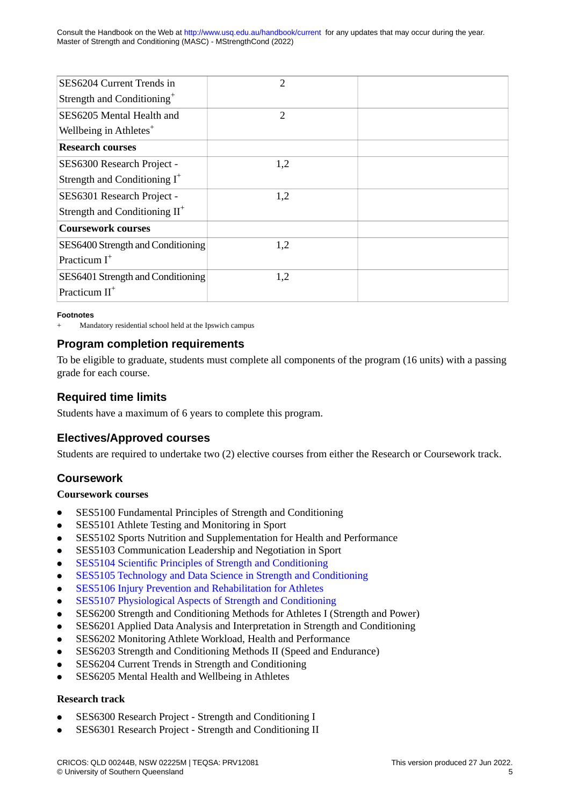Consult the Handbook on the Web at<http://www.usq.edu.au/handbook/current>for any updates that may occur during the year. Master of Strength and Conditioning (MASC) - MStrengthCond (2022)

| SES6204 Current Trends in              | 2              |  |
|----------------------------------------|----------------|--|
| Strength and Conditioning <sup>+</sup> |                |  |
| SES6205 Mental Health and              | $\overline{2}$ |  |
| Wellbeing in Athletes <sup>+</sup>     |                |  |
| <b>Research courses</b>                |                |  |
| SES6300 Research Project -             | 1,2            |  |
| Strength and Conditioning $I^+$        |                |  |
| SES6301 Research Project -             | 1,2            |  |
| Strength and Conditioning $II^+$       |                |  |
| <b>Coursework courses</b>              |                |  |
| SES6400 Strength and Conditioning      | 1,2            |  |
| Practicum $I^+$                        |                |  |
| SES6401 Strength and Conditioning      | 1,2            |  |
| Practicum $II^+$                       |                |  |

#### **Footnotes**

Mandatory residential school held at the Ipswich campus

### **Program completion requirements**

To be eligible to graduate, students must complete all components of the program (16 units) with a passing grade for each course.

### **Required time limits**

Students have a maximum of 6 years to complete this program.

### **Electives/Approved courses**

Students are required to undertake two (2) elective courses from either the Research or Coursework track.

### **Coursework**

#### **Coursework courses**

- SES5100 Fundamental Principles of Strength and Conditioning
- SES5101 Athlete Testing and Monitoring in Sport
- SES5102 Sports Nutrition and Supplementation for Health and Performance
- SES5103 Communication Leadership and Negotiation in Sport
- [SES5104 Scientific Principles of Strength and Conditioning](http://www.usq.edu.au/course/synopses/2022/SES5104.html)
- [SES5105 Technology and Data Science in Strength and Conditioning](http://www.usq.edu.au/course/synopses/2022/SES5105.html)
- [SES5106 Injury Prevention and Rehabilitation for Athletes](http://www.usq.edu.au/course/synopses/2022/SES5106.html)
- [SES5107 Physiological Aspects of Strength and Conditioning](http://www.usq.edu.au/course/synopses/2022/SES5107.html)
- SES6200 Strength and Conditioning Methods for Athletes I (Strength and Power)
- SES6201 Applied Data Analysis and Interpretation in Strength and Conditioning
- SES6202 Monitoring Athlete Workload, Health and Performance
- SES6203 Strength and Conditioning Methods II (Speed and Endurance)
- SES6204 Current Trends in Strength and Conditioning
- SES6205 Mental Health and Wellbeing in Athletes

#### **Research track**

- SES6300 Research Project Strength and Conditioning I
- SES6301 Research Project Strength and Conditioning II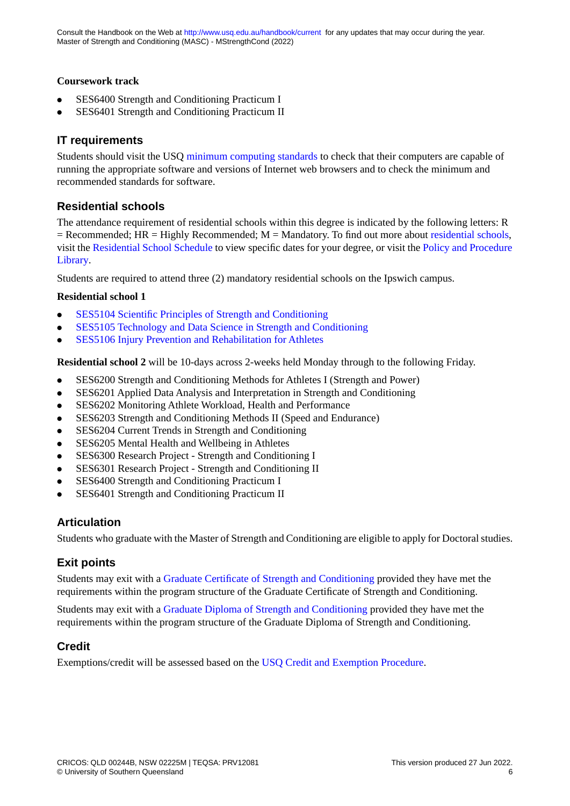#### **Coursework track**

- SES6400 Strength and Conditioning Practicum I
- SES6401 Strength and Conditioning Practicum II

### **IT requirements**

Students should visit the USQ [minimum computing standards](http://www.usq.edu.au/current-students/ict/hardware-software) to check that their computers are capable of running the appropriate software and versions of Internet web browsers and to check the minimum and recommended standards for software.

### **Residential schools**

The attendance requirement of residential schools within this degree is indicated by the following letters: R  $=$  Recommended; HR  $=$  Highly Recommended; M  $=$  Mandatory. To find out more about [residential schools,](https://www.usq.edu.au/current-students/academic/residential-schools) visit the [Residential School Schedule](https://www.usq.edu.au/handbook/current/resschoolsched.html) to view specific dates for your degree, or visit the [Policy and Procedure](https://policy.usq.edu.au/) [Library.](https://policy.usq.edu.au/)

Students are required to attend three (2) mandatory residential schools on the Ipswich campus.

#### **Residential school 1**

- [SES5104 Scientific Principles of Strength and Conditioning](http://www.usq.edu.au/course/synopses/2022/SES5104.html)
- [SES5105 Technology and Data Science in Strength and Conditioning](http://www.usq.edu.au/course/synopses/2022/SES5105.html)
- [SES5106 Injury Prevention and Rehabilitation for Athletes](http://www.usq.edu.au/course/synopses/2022/SES5106.html)

**Residential school 2** will be 10-days across 2-weeks held Monday through to the following Friday.

- SES6200 Strength and Conditioning Methods for Athletes I (Strength and Power)
- SES6201 Applied Data Analysis and Interpretation in Strength and Conditioning
- SES6202 Monitoring Athlete Workload, Health and Performance
- SES6203 Strength and Conditioning Methods II (Speed and Endurance)
- SES6204 Current Trends in Strength and Conditioning
- SES6205 Mental Health and Wellbeing in Athletes
- SES6300 Research Project Strength and Conditioning I
- SES6301 Research Project Strength and Conditioning II
- SES6400 Strength and Conditioning Practicum I
- SES6401 Strength and Conditioning Practicum II

#### **Articulation**

Students who graduate with the Master of Strength and Conditioning are eligible to apply for Doctoral studies.

### **Exit points**

Students may exit with a [Graduate Certificate of Strength and Conditioning](./GSCC.pdf) provided they have met the requirements within the program structure of the Graduate Certificate of Strength and Conditioning.

Students may exit with a [Graduate Diploma of Strength and Conditioning](./GSCD.pdf) provided they have met the requirements within the program structure of the Graduate Diploma of Strength and Conditioning.

### **Credit**

Exemptions/credit will be assessed based on the [USQ Credit and Exemption Procedure.](https://policy.usq.edu.au/documents/131190PL)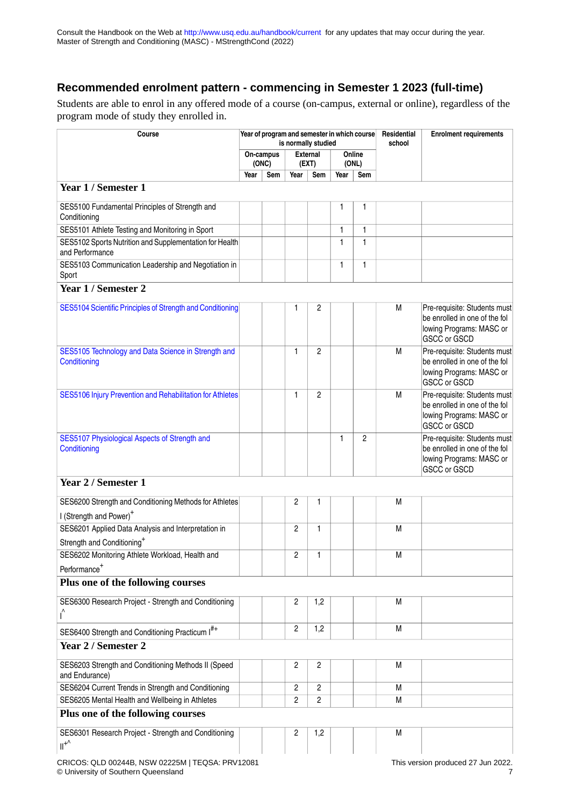## **Recommended enrolment pattern - commencing in Semester 1 2023 (full-time)**

Students are able to enrol in any offered mode of a course (on-campus, external or online), regardless of the program mode of study they enrolled in.

| Course                                                                                                     |      | Year of program and semester in which course |                | is normally studied      |              | Residential<br>school | <b>Enrolment requirements</b> |                                                                                                                                                  |
|------------------------------------------------------------------------------------------------------------|------|----------------------------------------------|----------------|--------------------------|--------------|-----------------------|-------------------------------|--------------------------------------------------------------------------------------------------------------------------------------------------|
|                                                                                                            |      | On-campus<br>(ONC)                           |                | <b>External</b><br>(EXT) |              | Online<br>(ONL)       |                               |                                                                                                                                                  |
|                                                                                                            | Year | Sem                                          | Year           | Sem                      | Year         | Sem                   |                               |                                                                                                                                                  |
| Year 1 / Semester 1                                                                                        |      |                                              |                |                          |              |                       |                               |                                                                                                                                                  |
| SES5100 Fundamental Principles of Strength and<br>Conditioning                                             |      |                                              |                |                          | 1            | 1                     |                               |                                                                                                                                                  |
| SES5101 Athlete Testing and Monitoring in Sport                                                            |      |                                              |                |                          | 1            | 1                     |                               |                                                                                                                                                  |
| SES5102 Sports Nutrition and Supplementation for Health<br>and Performance                                 |      |                                              |                |                          | $\mathbf{1}$ | 1                     |                               |                                                                                                                                                  |
| SES5103 Communication Leadership and Negotiation in<br>Sport                                               |      |                                              |                |                          | 1            | 1                     |                               |                                                                                                                                                  |
| Year 1 / Semester 2                                                                                        |      |                                              |                |                          |              |                       |                               |                                                                                                                                                  |
| SES5104 Scientific Principles of Strength and Conditioning                                                 |      |                                              | 1              | 2                        |              |                       | М                             | Pre-requisite: Students must<br>be enrolled in one of the fol<br>lowing Programs: MASC or<br><b>GSCC or GSCD</b>                                 |
| SES5105 Technology and Data Science in Strength and<br>Conditioning                                        |      |                                              | 1              | $\overline{2}$           |              |                       | M                             | Pre-requisite: Students must<br>be enrolled in one of the fol<br>lowing Programs: MASC or<br><b>GSCC or GSCD</b>                                 |
| SES5106 Injury Prevention and Rehabilitation for Athletes<br>SES5107 Physiological Aspects of Strength and |      |                                              | $\mathbf{1}$   | $\overline{2}$           | 1            | $\overline{c}$        | M                             | Pre-requisite: Students must<br>be enrolled in one of the fol<br>lowing Programs: MASC or<br><b>GSCC or GSCD</b><br>Pre-requisite: Students must |
| Conditioning<br>Year 2 / Semester 1<br>SES6200 Strength and Conditioning Methods for Athletes              |      |                                              | 2              | 1                        |              |                       | M                             | be enrolled in one of the fol<br>lowing Programs: MASC or<br>GSCC or GSCD                                                                        |
| I (Strength and Power) <sup>+</sup>                                                                        |      |                                              |                |                          |              |                       |                               |                                                                                                                                                  |
| SES6201 Applied Data Analysis and Interpretation in                                                        |      |                                              | $\overline{2}$ | 1                        |              |                       | M                             |                                                                                                                                                  |
| Strength and Conditioning <sup>+</sup>                                                                     |      |                                              |                |                          |              |                       |                               |                                                                                                                                                  |
| SES6202 Monitoring Athlete Workload, Health and<br>Performance <sup>+</sup>                                |      |                                              | 2              | 1                        |              |                       | M                             |                                                                                                                                                  |
| Plus one of the following courses                                                                          |      |                                              |                |                          |              |                       |                               |                                                                                                                                                  |
| SES6300 Research Project - Strength and Conditioning                                                       |      |                                              | 2              | 1,2                      |              |                       | M                             |                                                                                                                                                  |
| SES6400 Strength and Conditioning Practicum I <sup>#+</sup>                                                |      |                                              | $\overline{c}$ | 1,2                      |              |                       | M                             |                                                                                                                                                  |
| Year 2 / Semester 2                                                                                        |      |                                              |                |                          |              |                       |                               |                                                                                                                                                  |
|                                                                                                            |      |                                              |                |                          |              |                       |                               |                                                                                                                                                  |
| SES6203 Strength and Conditioning Methods II (Speed<br>and Endurance)                                      |      |                                              | 2              | 2                        |              |                       | M                             |                                                                                                                                                  |
| SES6204 Current Trends in Strength and Conditioning                                                        |      |                                              | $\overline{2}$ | $\overline{c}$           |              |                       | M                             |                                                                                                                                                  |
| SES6205 Mental Health and Wellbeing in Athletes                                                            |      |                                              | $\overline{2}$ | 2                        |              |                       | M                             |                                                                                                                                                  |
| Plus one of the following courses                                                                          |      |                                              |                |                          |              |                       |                               |                                                                                                                                                  |
| SES6301 Research Project - Strength and Conditioning<br>$II+\sqrt{2}$                                      |      |                                              | 2              | 1,2                      |              |                       | M                             |                                                                                                                                                  |
| CRICOS: QLD 00244B, NSW 02225M   TEQSA: PRV12081                                                           |      |                                              |                |                          |              |                       |                               | This version produced 27 Jun 2022.                                                                                                               |

© University of Southern Queensland 7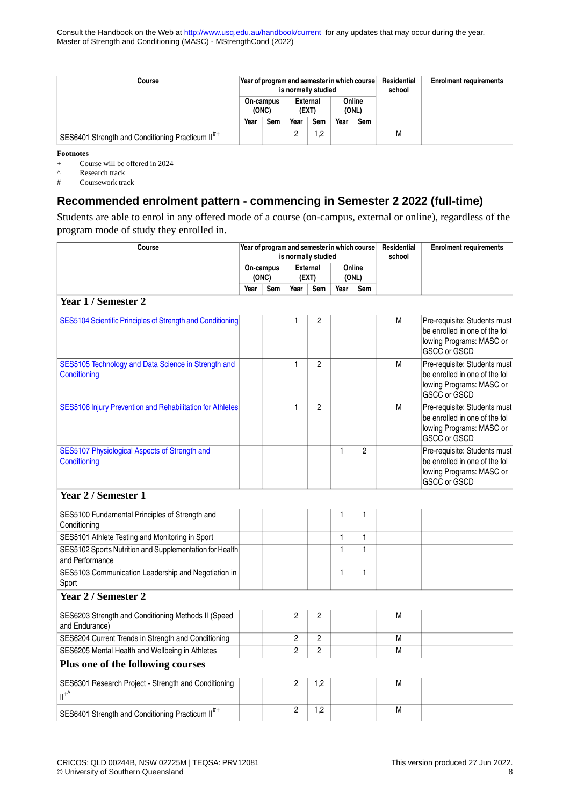Consult the Handbook on the Web at<http://www.usq.edu.au/handbook/current>for any updates that may occur during the year. Master of Strength and Conditioning (MASC) - MStrengthCond (2022)

| Course                                                       |                    | Year of program and semester in which course | is normally studied |         |                 | Residential<br>school | <b>Enrolment requirements</b> |  |
|--------------------------------------------------------------|--------------------|----------------------------------------------|---------------------|---------|-----------------|-----------------------|-------------------------------|--|
|                                                              | On-campus<br>(ONC) |                                              | External<br>(EXT)   |         | Online<br>(ONL) |                       |                               |  |
|                                                              | Year               | Sem                                          | Year                | Sem     | Year            | Sem                   |                               |  |
| SES6401 Strength and Conditioning Practicum II <sup>#+</sup> |                    |                                              | -                   | റ<br>ے, |                 |                       | М                             |  |

**Footnotes**

+ Course will be offered in 2024

A<br>
Research track<br>  $#$  Coursework tra

Coursework track

### **Recommended enrolment pattern - commencing in Semester 2 2022 (full-time)**

Students are able to enrol in any offered mode of a course (on-campus, external or online), regardless of the program mode of study they enrolled in.

| Course                                                                     |      |                    | Year of program and semester in which course<br>is normally studied |                          |      | Residential<br>school | <b>Enrolment requirements</b> |                                                                                                                  |
|----------------------------------------------------------------------------|------|--------------------|---------------------------------------------------------------------|--------------------------|------|-----------------------|-------------------------------|------------------------------------------------------------------------------------------------------------------|
|                                                                            |      | On-campus<br>(ONC) |                                                                     | <b>External</b><br>(EXT) |      | Online<br>(ONL)       |                               |                                                                                                                  |
|                                                                            | Year | Sem                | Year                                                                | Sem                      | Year | Sem                   |                               |                                                                                                                  |
| Year 1 / Semester 2                                                        |      |                    |                                                                     |                          |      |                       |                               |                                                                                                                  |
| SES5104 Scientific Principles of Strength and Conditioning                 |      |                    | 1                                                                   | 2                        |      |                       | M                             | Pre-requisite: Students must<br>be enrolled in one of the fol<br>lowing Programs: MASC or<br><b>GSCC or GSCD</b> |
| SES5105 Technology and Data Science in Strength and<br>Conditioning        |      |                    | 1                                                                   | $\overline{2}$           |      |                       | M                             | Pre-requisite: Students must<br>be enrolled in one of the fol<br>lowing Programs: MASC or<br>GSCC or GSCD        |
| SES5106 Injury Prevention and Rehabilitation for Athletes                  |      |                    | 1                                                                   | $\overline{2}$           |      |                       | М                             | Pre-requisite: Students must<br>be enrolled in one of the fol<br>lowing Programs: MASC or<br>GSCC or GSCD        |
| SES5107 Physiological Aspects of Strength and<br>Conditioning              |      |                    |                                                                     |                          | 1    | $\overline{c}$        |                               | Pre-requisite: Students must<br>be enrolled in one of the fol<br>lowing Programs: MASC or<br><b>GSCC or GSCD</b> |
| Year 2 / Semester 1                                                        |      |                    |                                                                     |                          |      |                       |                               |                                                                                                                  |
| SES5100 Fundamental Principles of Strength and<br>Conditioning             |      |                    |                                                                     |                          | 1    | 1                     |                               |                                                                                                                  |
| SES5101 Athlete Testing and Monitoring in Sport                            |      |                    |                                                                     |                          | 1    | 1                     |                               |                                                                                                                  |
| SES5102 Sports Nutrition and Supplementation for Health<br>and Performance |      |                    |                                                                     |                          | 1    | 1                     |                               |                                                                                                                  |
| SES5103 Communication Leadership and Negotiation in<br>Sport               |      |                    |                                                                     |                          | 1    | $\mathbf{1}$          |                               |                                                                                                                  |
| Year 2 / Semester 2                                                        |      |                    |                                                                     |                          |      |                       |                               |                                                                                                                  |
| SES6203 Strength and Conditioning Methods II (Speed<br>and Endurance)      |      |                    | 2                                                                   | $\overline{2}$           |      |                       | M                             |                                                                                                                  |
| SES6204 Current Trends in Strength and Conditioning                        |      |                    | 2                                                                   | 2                        |      |                       | М                             |                                                                                                                  |
| SES6205 Mental Health and Wellbeing in Athletes                            |      |                    | $\overline{c}$                                                      | $\overline{c}$           |      |                       | M                             |                                                                                                                  |
| Plus one of the following courses                                          |      |                    |                                                                     |                          |      |                       |                               |                                                                                                                  |
| SES6301 Research Project - Strength and Conditioning<br>$II^{+\wedge}$     |      |                    | 2                                                                   | 1,2                      |      |                       | M                             |                                                                                                                  |
| SES6401 Strength and Conditioning Practicum II <sup>#+</sup>               |      |                    | 2                                                                   | 1,2                      |      |                       | M                             |                                                                                                                  |